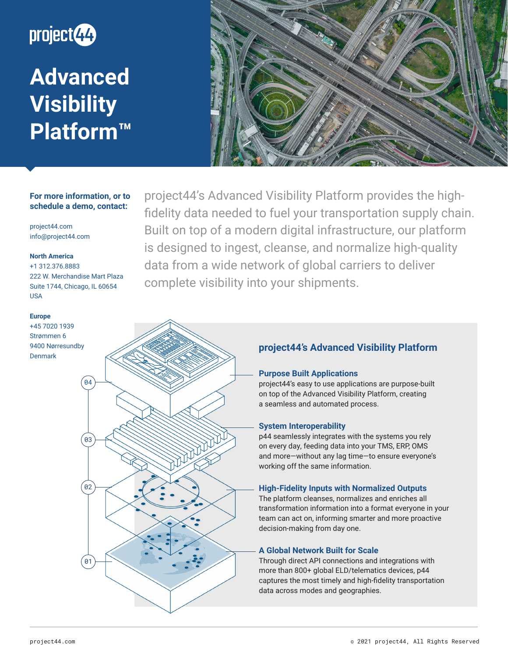

**Advanced Visibility Platform™** 



# **For more information, or to schedule a demo, contact:**

project44.com info@project44.com

### **North America**

+1 312.376.8883 222 W. Merchandise Mart Plaza Suite 1744, Chicago, IL 60654 USA

 $\overline{0}2$ 

01

03

04

#### **Europe**

+45 7020 1939 Strømmen 6 9400 Nørresundby Denmark

project44's Advanced Visibility Platform provides the highfidelity data needed to fuel your transportation supply chain. Built on top of a modern digital infrastructure, our platform is designed to ingest, cleanse, and normalize high-quality data from a wide network of global carriers to deliver complete visibility into your shipments.

# **project44's Advanced Visibility Platform**

# **Purpose Built Applications**

project44's easy to use applications are purpose-built on top of the Advanced Visibility Platform, creating a seamless and automated process.

### **System Interoperability**

p44 seamlessly integrates with the systems you rely on every day, feeding data into your TMS, ERP, OMS and more—without any lag time—to ensure everyone's working off the same information.

### **High-Fidelity Inputs with Normalized Outputs**

The platform cleanses, normalizes and enriches all transformation information into a format everyone in your team can act on, informing smarter and more proactive decision-making from day one.

### **A Global Network Built for Scale**

Through direct API connections and integrations with more than 800+ global ELD/telematics devices, p44 captures the most timely and high-fidelity transportation data across modes and geographies.